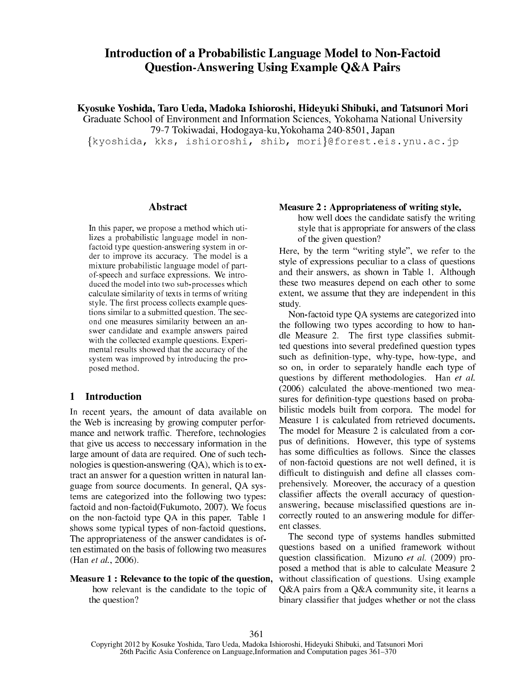# Introduction of a Probabilistic Language Model to Non-Factoid Question-Answering Using Example Q&A Pairs

Kyosuke Yoshida, Taro Ueda, Madoka Ishioroshi, Hideyuki Shibuki, and Tatsunori Mori Graduate S
hool of Environment and Information S
ien
es, Yokohama National University 79-7 Tokiwadai, Hodogaya-ku,Yokohama 240-8501, Japan

{kyoshida, kks, ishioroshi, shib, mori}@forest.eis.ynu.ac.jp

### **Abstract**

In this paper, we propose a method whi
h utilizes a probabilistic language model in nonfactoid type question-answering system in order to improve its accuracy. The model is a mixture probabilisti language model of partof-spee
h and surfa
e expressions. We introduced the model into two sub-processes which al
ulate similarity of texts in terms of writing style. The - rest production of the - rest production of the - rest production of the - rest production of the tions similar to a submitted question. The se
 ond one measures similarity between an answer andidate and example answers paired with the collected example questions. Experimental results showed that the accuracy of the system was improved by introdu
ing the proposed method.

### <sup>1</sup> Introdu
tion

In re
ent years, the amount of data available on the Web is in
reasing by growing omputer performan
e and network traf-. Therefore, te
hnologies that give us access to neccessary information in the large amount of data are required. One of such technologies is question-answering (QA), whi
h is to extract an answer for a question written in natural language from sour
e do
uments. In general, QA systems are ategorized into the following two types: factoid and non-factoid(Fukumoto, 2007). We focus on the non-fa
toid type QA in this paper. Table 1 shows some typical types of non-factoid questions. The appropriateness of the answer candidates is often estimated on the basis of following two measures (Han et al., 2006).

## Measure 1 : Relevance to the topic of the question,

how relevant is the candidate to the topic of the question?

#### Measure 2 : Appropriateness of writing style,

how well does the andidate satisfy the writing style that is appropriate for answers of the lass of the given question?

Here, by the term "writing style", we refer to the style of expressions peculiar to a class of questions and their answers, as shown in Table 1. Although these two measures depend on ea
h other to some extent, we assume that they are independent in this study.

Non-factoid type QA systems are categorized into the following two types according to how to hanas ested to a complete the complete the submitted questions into several predesent predesent predesent predesent predesent predesent predesu
h as de-nition-type, why-type, how-type, and so on, in order to separately handle ea
h type of questions by different methodologies. Han et al. (2006) calculated the above-mentioned two measures for de-nition-type questions based on probabilisti models built from orpora. The model for Measure 1 is calculated from retrieved documents. The model for Measure 2 is calculated from a corpus of de-nitions. However, this type of systems to deep character approached de- not well de- not well as an different and definition of the definition of the contract of the second contract of the second contract of the prehensively. Moreover, the accuracy of a question  $\mathcal{L}$ answering, because missions are income missions are inorre
tly routed to an answering module for different lasses.

The second type of systems handles submitted questions based on a uni-ed framework without question lassi-ation. Mizuno et al. (2009) proposed a method that is able to calculate Measure 2 with a substitutions. Using the state of  $\alpha$  is a state of  $\alpha$  is a state of  $\alpha$ Q&A pairs from a Q&A community site, it learns a binary lassi-er that judges whether or not the lass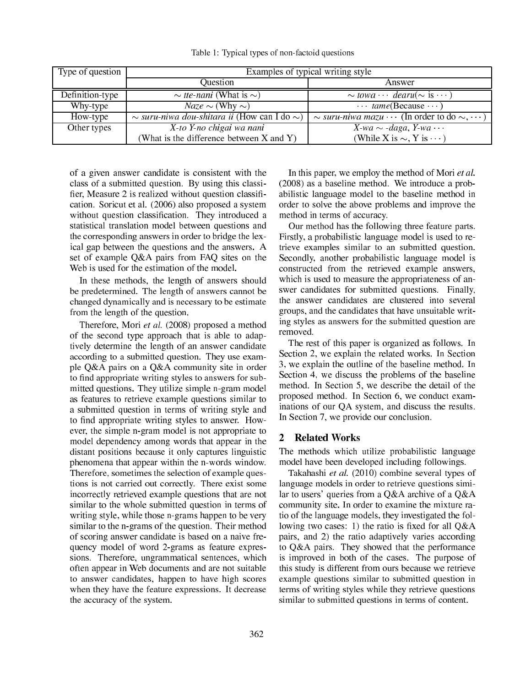| Type of question | Examples of typical writing style                      |                                                                    |  |  |  |  |  |
|------------------|--------------------------------------------------------|--------------------------------------------------------------------|--|--|--|--|--|
|                  | Question                                               | Answer                                                             |  |  |  |  |  |
| Definition-type  | $\sim$ tte-nani (What is $\sim$ )                      | $\sim$ towa $\cdots$ dearu( $\sim$ is $\cdots$ )                   |  |  |  |  |  |
| Why-type         | $Naze \sim$ (Why $\sim$ )                              | $\cdots$ tame(Because $\cdots$ )                                   |  |  |  |  |  |
| How-type         | $\sim$ suru-niwa dou-shitara ii (How can I do $\sim$ ) | $\sim$ suru-niwa mazu $\cdots$ (In order to do $\sim$ , $\cdots$ ) |  |  |  |  |  |
| Other types      | X-to Y-no chigai wa nani                               | $\overline{X}$ -wa $\sim$ -daga, Y-wa $\cdots$                     |  |  |  |  |  |
|                  | (What is the difference between $X$ and $Y$ )          | (While X is $\sim$ , Y is $\cdots$ )                               |  |  |  |  |  |

Table 1: Typical types of non-factoid questions

of a given answer andidate is onsistent with the class of a submitted question. By using this classi--er, Measure 2 is realized without question lassi- cation. Soricut et al. (2006) also proposed a system with a last question. They is a last construction of the contract of the contract of the contract of the contract of the contract of the contract of the contract of the contract of the contract of the contract of the contr statisti
al translation model between questions and the orresponding answers in order to bridge the lexi
al gap between the questions and the answers. A set of example Q&A pairs from FAQ sites on the Web is used for the estimation of the model.

In these methods, the length of answers should be predetermined. The length of answers annot be hanged dynami
ally and is ne
essary to be estimate from the length of the question.

Therefore, Mori et al. (2008) proposed a method of the se
ond type approa
h that is able to adaptively determine the length of an answer andidate according to a submitted question. They use example Q&A pairs on a Q&A ommunity site in order to enter up positive with an appropriate the state state of submitted questions. They utilize simple n-gram model as features to retrieve example questions similar to a submitted question in terms of writing style and to appropriate with styles to answer with styles to answer. ever, the simple n-gram model is not appropriate to model dependen
y among words that appear in the distant positions because it only captures linguistic phenomena that appear within the n-words window. Therefore, sometimes the selection of example questions is not carried out correctly. There exist some in
orre
tly retrieved example questions that are not similar to the whole submitted question in terms of writing style, while those n-grams happen to be very similar to the n-grams of the question. Their method of s
oring answer andidate is based on a naive frequen
y model of word 2-grams as feature expressions. Therefore, ungrammati
al senten
es, whi
h often appear in Web do
uments and are not suitable to answer andidates, happen to have high s
ores when they have the feature expressions. It decrease the accuracy of the system.

In this paper, we employ the method of Mori et al. (2008) as a baseline method. We introdu
e a probabilisti language model to the baseline method in order to solve the above problems and improve the method in terms of accuracy.

Our method has the following three feature parts. Firstly, a probabilistic language model is used to retrieve examples similar to an submitted question. Secondly, another probabilistic language model is onstru
ted from the retrieved example answers, which is used to measure the appropriateness of answer andidates for submitted questions. Finally, the answer andidates are lustered into several groups, and the andidates that have unsuitable writing styles as answers for the submitted question are removed.

The rest of this paper is organized as follows. In Section 2, we explain the related works. In Section 3, we explain the outline of the baseline method. In Section 4, we discuss the problems of the baseline method. In Section 5, we describe the detail of the proposed method. In Section 6, we conduct examinations of our OA system, and discuss the results. In Section 7, we provide our conclusion.

#### <sup>2</sup> Related Works

The methods which utilize probabilistic language model have been developed in
luding followings.

Takahashi et al. (2010) ombine several types of language models in order to retrieve questions similar to users' queries from a Q&A archive of a Q&A ommunity site. In order to examine the mixture ratio of the language models, they investigated the following two ases: 1) the ratio is -xed for all Q&A pairs, and 2) the ratio adaptively varies according to Q&A pairs. They showed that the performan
e is improved in both of the ases. The purpose of this study is different from ours because we retrieve example questions similar to submitted question in terms of writing styles while they retrieve questions similar to submitted questions in terms of content.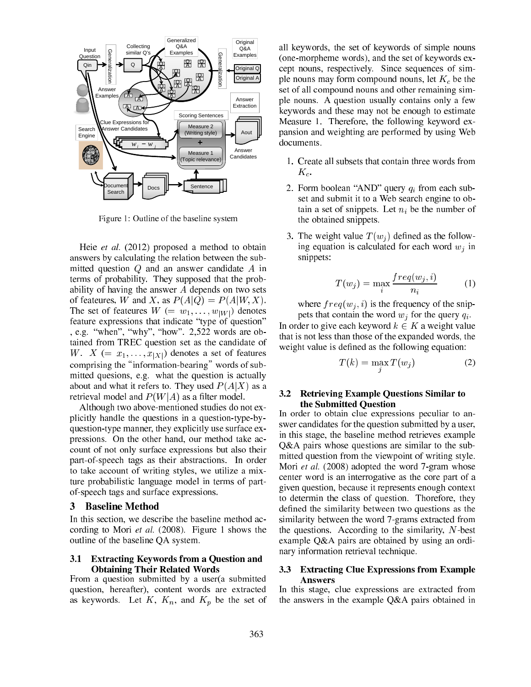

Figure 1: Outline of the baseline system

Heie et al. (2012) proposed a method to obtain answers by al
ulating the relation between the submitted question  $Q$  and an answer candidate  $A$  in terms of probability. They supposed that the probability of having the answer  $A$  depends on two sets of feateures, W and X, as  $P(A|Q) = P(A|W, X)$ . The set of feateures  $W = w_1, \dots, w_{|W|}$  denotes feature expressions that indicate "type of question" , e.g. "when", "why", "how".  $2,522$  words are obtained from TREC question set as the andidate of W.  $X (= x_1, \ldots, x_{|X|})$  denotes a set of features comprising the "information-bearing" words of submitted quesions, e.g. what the question is actually about and what it refers to. They used  $P(A|X)$  as a retrieval model and  $P(W|A)$  as a filter model.

Although two above-mentioned studies do not explicitly handle the questions in a question-type-byquestion-type manner, they explicitly use surface expressions. On the other hand, our method take acount of not only surfa
e expressions but also their part-of-spee
h tags as their abstra
tions. In order to take account of writing styles, we utilize a mixture probabilisti language model in terms of partof-spee
h tags and surfa
e expressions.

#### <sup>3</sup> Baseline Method

In this section, we describe the baseline method according to Mori et al. (2008). Figure 1 shows the outline of the baseline QA system.

#### 3.1 Extracting Keywords from a Question and Obtaining Their Related Words

From a question submitted by a user(a submitted question, hereafter), content words are extracted as keywords. Let  $K$ ,  $K_n$ , and  $K_p$  be the set of all keywords, the set of keywords of simple nouns (one-morpheme words), and the set of keywords ex ept nouns, respe
tively. Sin
e sequen
es of simple nouns may form compound nouns, let  $K_c$  be the set of all ompound nouns and other remaining simple nouns. A question usually ontains only a few keywords and these may not be enough to estimate Measure 1. Therefore, the following keyword expansion and weighting are performed by using Web documents.

- 1. Create all subsets that ontain three words from  $K_c$ .
- 2. Form boolean "AND" query  $q_i$  from each subset and submit it to a Web sear
h engine to obtain a set of snippets. Let  $n_i$  be the number of the obtained snippets.
- 3. The weight value  $T(w_i)$  defined as the following equation is calculated for each word  $w_i$  in snippets:

$$
T(w_j) = \max_i \frac{freq(w_j, i)}{n_i} \tag{1}
$$

where  $freq(w_i, i)$  is the frequency of the snippets that contain the word  $w_i$  for the query  $q_i$ . In order to give each keyword  $k \in K$  a weight value that is not less than those of the expanded words, the weight value is defined as the following equation:

$$
T(k) = \max_{j} T(w_j)
$$
 (2)

#### $3.2$ 3.2 Retrieving Example Questions Similar to the Submitted Question

In order to obtain clue expressions peculiar to answer andidates for the question submitted by a user, in this stage, the baseline method retrieves example Q&A pairs whose questions are similar to the submitted question from the viewpoint of writing style. Mori et al. (2008) adopted the word 7-gram whose enter word is an interrogative as the ore part of a given question, be
ause it represents enough ontext to determin the lass of question. Thorefore, they de-the similarity between two questions as the similar two questions as the similar two questions as the similar two questions as the similar two questions as the similar two questions as the similar two questions as the s similarity between the word 7-grams extracted from the questions. According to the similarity,  $N$ -best example Q&A pairs are obtained by using an ordinary information retrieval te
hnique.

#### **Extracting Clue Expressions from Example**  $3.3$ **A** nswers

In this stage, clue expressions are extracted from the answers in the example Q&A pairs obtained in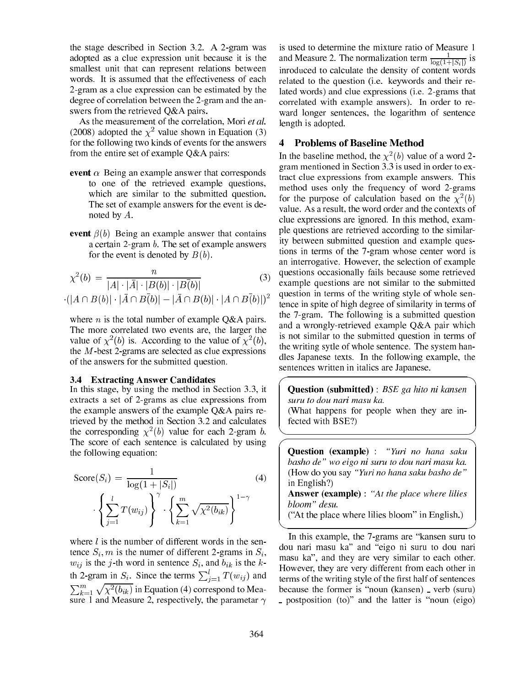the stage des
ribed in Se
tion 3.2. A 2-gram was adopted as a lue expression unit be
ause it is the smallest unit that an represent relations between words. It is assumed that the effectiveness of each 2-gram as a lue expression an be estimated by the degree of orrelation between the 2-gram and the answers from the retrieved Q&A pairs.

As the measurement of the correlation, Mori et al. (2008) adopted the  $\chi^2$  value shown in Equation (3) for the following two kinds of events for the answers from the entire set of example Q&A pairs:

- event  $\alpha$  Being an example answer that corresponds to one of the retrieved example questions, whi
h are similar to the submitted question. The set of example answers for the event is denoted by A.
- event  $\beta(b)$  Being an example answer that contains a ertain 2-gram b. The set of example answers for the event is denoted by  $B(b)$ .

$$
\chi^{2}(b) = \frac{n}{|A| \cdot |\bar{A}| \cdot |B(b)| \cdot |B(\bar{b})|}
$$
(3)  
·(|A \cap B(b)| \cdot |\bar{A} \cap B(\bar{b})| - |\bar{A} \cap B(b)| \cdot |A \cap B(\bar{b})|)^{2}

where *n* is the total number of example  $Q\&A$  pairs. The more orrelated two events are, the larger the value of  $\chi^2(b)$  is. According to the value of  $\chi^2(b)$ , the  $M$ -best 2-grams are selected as clue expressions of the answers for the submitted question.

#### 3.4 Extra
ting Answer Candidates

In this stage, by using the method in Section 3.3, it extracts a set of 2-grams as clue expressions from the example answers of the example Q&A pairs retrieved by the method in Section 3.2 and calculates the corresponding  $\chi^2(b)$  value for each 2-gram b. The score of each sentence is calculated by using the following equation:

$$
Score(S_i) = \frac{1}{\log(1 + |S_i|)} \tag{4}
$$
\n
$$
\left\{ \sum_{j=1}^{l} T(w_{ij}) \right\}^{\gamma} \cdot \left\{ \sum_{k=1}^{m} \sqrt{\chi^2(b_{ik})} \right\}^{1-\gamma}
$$

where  $l$  is the number of different words in the sentence  $S_i$ , m is the numer of different 2-grams in  $S_i$ ,  $w_{ij}$  is the j-th word in sentence  $S_i$ , and  $b_{ik}$  is the kth 2-gram in  $S_i$ . Since the terms  $\sum_{j=1}^{l} T(w_{ij})$  and  $\sum_{k=1}^m \sqrt{\chi^2(b_{ik})}$  in Equation (4) correspond to Measure 1 and Measure 2, respectively, the parametar  $\gamma$ 

is used to determine the mixture ratio of Measure 1 and Measure 2. The normalization term  $\frac{1}{\log(1+|S_i|)}$  is inroduced to calculate the density of content words related to the question (i.e. keywords and their related words) and lue expressions (i.e. 2-grams that orrelated with example answers). In order to reward longer senten
es, the logarithm of senten
e length is adopted.

## <sup>4</sup> Problems of Baseline Method

In the baseline method, the  $\chi^2(b)$  value of a word 2gram mentioned in Se
tion 3.3 is used in order to extract clue expressions from example answers. This method uses only the frequency of word 2-grams for the purpose of calculation based on the  $\chi^2(b)$ value. As a result, the word order and the contexts of clue expressions are ignored. In this method, example questions are retrieved according to the similarity between submitted question and example questions in terms of the 7-gram whose enter word is an interrogative. However, the selection of example questions occasionally fails because some retrieved example questions are not similar to the submitted question in terms of the writing style of whole senten
e in spite of high degree of similarity in terms of the 7-gram. The following is a submitted question and a wrongly-retrieved example Q&A pair whi
h is not similar to the submitted question in terms of the writing sytle of whole senten
e. The system handles Japanese texts. In the following example, the senten
es written in itali
s are Japanese.

**Question (submitted)** : BSE ga hito ni kansen suru to dou nari masu ka. (What happens for people when they are infected with BSE?)

**Question** (example) : "Yuri no hana saku basho de" wo eigo ni suru to dou nari masu ka. (How do you say "Yuri no hana saku basho de" in English?) Answer (example) : "At the place where lilies bloom" desu.

("At the place where lilies bloom" in English.)

In this example, the 7-grams are "kansen suru to dou nari masu ka" and "eigo ni suru to dou nari masu ka", and they are very similar to each other. However, they are very different from ea
h other in terms of the writing style of the metal come statements because the former is "noun (kansen) \_ verb (suru) - postposition (to)" and the latter is "noun (eigo)

 \_\_\_\_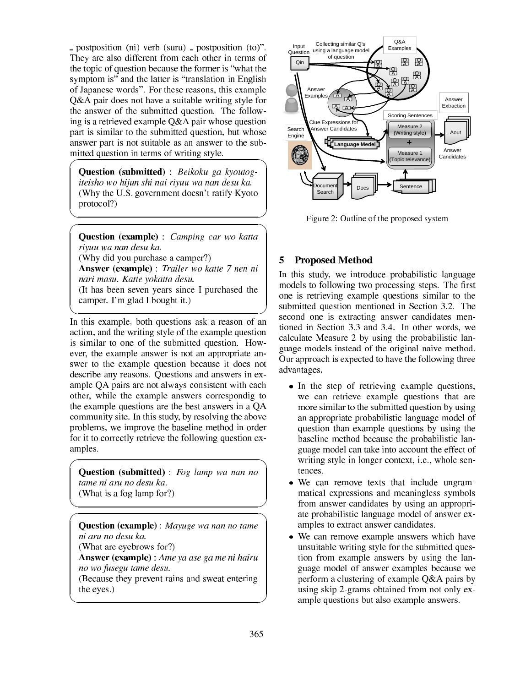postposition (ni) verb (suru) postposition (to)". They are also different from ea
h other in terms of the topic to guidence to thus the former is a common the symptom is" and the latter is "translation in English of Japanese words". For these reasons, this example Q&A pair does not have a suitable writing style for the answer of the submitted question. The following is a retrieved example Q&A pair whose question part is similar to the submitted question, but whose answer part is not suitable as an answer to the sub-

Question (submitted) : Beikoku ga kyoutogiteisho wo hijun shi nai riyuu wa nan desu ka. (Why the U.S. government doesn't ratify Kyoto protocol?)

mitted question in terms of writing style.

 \_\_\_\_

  $\overline{\phantom{a}}$ 

**Question (example)** : *Camping car wo katta* riyuu wa nan desu ka. (Why did you purchase a camper?) Answer (example) : Trailer wo katte 7 nen ni nari masu. Katte yokatta desu. (It has been seven years sin
e I pur
hased the amper. I'm glad I bought it.)

In this example, both questions ask a reason of an a
tion, and the writing style of the example question is similar to one of the submitted question. However, the example answer is not an appropriate answer to does community questions avanced at main meth des
ribe any reasons. Questions and answers in example QA pairs are not always onsistent with ea
h other, while the example answers orrespondig to the example questions are the best answers in a QA ommunity site. In this study, by resolving the above problems, we improve the baseline method in order for it to correctly retrieve the following question examples.

Question (submitted) : Fog lamp wa nan no tame ni aru no desu ka. (What is a fog lamp for?)

Question (example) : Mayuge wa nan no tame (What are eyebrows for?) Answer (example) : Ame ya ase ga me ni hairu no wo fusegu tame desu. (Be
ause they prevent rains and sweat entering the eyes.)



Figure 2: Outline of the proposed system

# <sup>5</sup> Proposed Method

 In this study, we introdu
e probabilisti language models to following two pro
essing steps. The -rst one is retrieving example questions similar to the submitted question mentioned in Section 3.2. The second one is extracting answer candidates mentioned in Se
tion 3.3 and 3.4. In other words, we al
ulate Measure 2 by using the probabilisti language models instead of the original naive method. Our approach is expected to have the following three advantages.

- In the step of retrieving example questions, we an retrieve example questions that are more similar to the submitted question by using an appropriate probabilisti language model of question than example questions by using the baseline method because the probabilistic language model can take into account the effect of writing style in longer context, *i.e.*, whole sen-
- We can remove texts that include ungrammati
al expressions and meaningless symbols from answer andidates by using an appropriate probabilisti language model of answer examples to extract answer candidates.
- We can remove example answers which have unsuitable writing style for the submitted question from example answers by using the language model of answer examples be
ause we perform a lustering of example Q&A pairs by using skip 2-grams obtained from not only example questions but also example answers.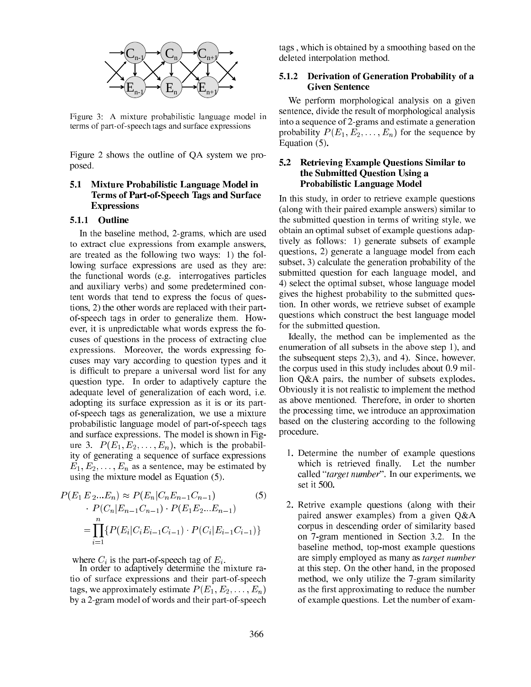

Figure 3: A mixture probabilisti language model in terms of part-of-spee
h tags and surfa
e expressions

Figure 2 shows the outline of QA system we proposed.

### 5.1 Mixture Probabilisti Language Model in Terms of Part-of-Spee
h Tags and Surfa
e **Expressions**

### 5.1.1 Outline

In the baseline method, 2-grams, whi
h are used to extract clue expressions from example answers, are treated as the following two ways: 1) the following surfa
e expressions are used as they are: the fun
tional words (e.g. interrogatives parti
les and auxiliary verbs) and some predetermined ontent words that tend to express the focus of questions, 2) the other words are repla
ed with their partof-spee
h tags in order to generalize them. However, it is unpredictable what words express the focuses of questions in the process of extracting clue expressions. Moreover, the words expressing fo cuses may vary according to question types and it is different and proposed word list for any contract for  $\mu$ question type. In order to adaptively apture the adequate level of generalization of ea
h word, i.e. adopting its surfa
e expression as it is or its partof-spee
h tags as generalization, we use a mixture probabilisti language model of part-of-spee
h tags and surfa
e expressions. The model is shown in Figure 3.  $P(E_1, E_2, \ldots, E_n)$ , which is the probability of generating a sequen
e of surfa
e expressions  $E_1, E_2, \ldots, E_n$  as a sentence, may be estimated by using the mixture model as Equation (5).

$$
P(E_1 E_2...E_n) \approx P(E_n | C_n E_{n-1} C_{n-1})
$$
\n
$$
P(C_n | E_{n-1} C_{n-1}) \cdot P(E_1 E_2...E_{n-1})
$$
\n
$$
= \prod_{i=1}^n \{ P(E_i | C_i E_{i-1} C_{i-1}) \cdot P(C_i | E_{i-1} C_{i-1}) \}
$$
\n(5)

where  $C_i$  is the part-of-speech tag of  $E_i$ .

In order to adaptively determine the mixture ratio of surfa
e expressions and their part-of-spee
h tags, we approximately estimate  $P(E_1, E_2, \ldots, E_n)$ by a 2-gram model of words and their part-of-spee
h

tags , whi
h is obtained by a smoothing based on the deleted interpolation method.

#### 5.1.2 Derivation of Generation Probability of a Given Senten
e

We perform morphological analysis on a given senten
e, divide the result of morphologi
al analysis into a sequen
e of 2-grams and estimate a generation probability  $P(E_1, E_2, \ldots, E_n)$  for the sequence by Equation (5).

#### 5.2 Retrieving Example Questions Similar to the Submitted Question Using a Probabilisti Language Model

In this study, in order to retrieve example questions (along with their paired example answers) similar to the submitted question in terms of writing style, we obtain an optimal subset of example questions adaptively as follows: 1) generate subsets of example questions, 2) generate a language model from ea
h subset, 3) calculate the generation probability of the submitted question for ea
h language model, and 4) sele
t the optimal subset, whose language model gives the highest probability to the submitted question. In other words, we retrieve subset of example questions whi
h onstru
t the best language model for the submitted question.

Ideally, the method can be implemented as the enumeration of all subsets in the above step 1), and the subsequent steps 2),3), and 4). Sin
e, however, the corpus used in this study includes about 0.9 million Q&A pairs, the number of subsets explodes. Obviously it is not realistic to implement the method as above mentioned. Therefore, in order to shorten the pro
essing time, we introdu
e an approximation based on the clustering according to the following pro
edure.

- 1. Determine the number of example questions h is retrieved and the number of the number of the number of the number of the number of the number of the number of the number of the number of the number of the number of the number of the number of the number of the num called "*target number*". In our experiments, we set it 500.
- 2. Retrive example questions (along with their paired answer examples) from a given Q&A orpus in des
ending order of similarity based on 7-gram mentioned in Section 3.2. In the baseline method, top-most example questions are simply employed as many as *target number* at this step. On the other hand, in the proposed method, we only utilize the 7-gram similarity as the contract of the number of the number of the number of the number of the number of the number of the number of of example questions. Let the number of exam-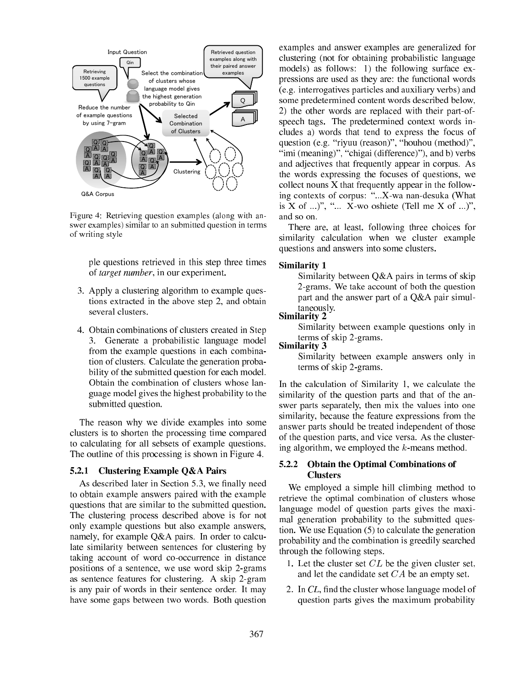

Figure 4: Retrieving question examples (along with answer examples) similar to an submitted question in terms of writing style

ple questions retrieved in this step three times of target number, in our experiment.

- 3. Apply a lustering algorithm to example questions extracted in the above step 2, and obtain
- 4. Obtain ombinations of lusters reated in Step 3. Generate a probabilisti language model from the example questions in each combination of lusters. Cal
ulate the generation probability of the submitted question for ea
h model. Obtain the ombination of lusters whose language model gives the highest probability to the submitted question.

The reason why we divide examples into some clusters is to shorten the processing time compared to al
ulating for all sebsets of example questions. The outline of this processing is shown in Figure 4.

#### 5.2.1 Clustering Example Q&A Pairs

As des
ribed later in Se
tion 5.3, we -nally need to obtain example answers paired with the example questions that are similar to the submitted question. The lustering pro
ess des
ribed above is for not only example questions but also example answers, namely, for example  $Q&A$  pairs. In order to calculate similarity between senten
es for lustering by taking account of word co-occurrence in distance positions of a senten
e, we use word skip 2-grams as senten
e features for lustering. A skip 2-gram is any pair of words in their senten
e order. It may have some gaps between two words. Both question

examples and answer examples are generalized for clustering (not for obtaining probabilistic language models) as follows: 1) the following surfa
e expressions are used as they are: the functional words (e.g. interrogatives parti
les and auxiliary verbs) and some predetermined ontent words des
ribed below, 2) the other words are repla
ed with their part-ofspee
h tags. The predetermined ontext words in cludes a) words that tend to express the focus of question (e.g. "riyuu (reason)", "houhou (method)", "imi (meaning)", "chigai (difference)"), and b) verbs and adje
tives that frequently appear in orpus. As the words expressing the fo
uses of questions, we  $\alpha$  collect nouns X that frequently appear in the following contexts of corpus: "...X-wa nan-desuka (What is X of ...)", "... X-wo oshiete (Tell me X of ...)", and so on.

There are, at least, following three hoi
es for similarity calculation when we cluster example questions and answers into some lusters.

#### Similarity 1

Similarity between Q&A pairs in terms of skip 2-grams. We take account of both the question part and the answer part of a Q&A pair simultaneously.

#### Similarity 2

Similarity between example questions only in terms of skip 2-grams.

Similarity 3

Similarity between example answers only in terms of skip 2-grams.

In the calculation of Similarity 1, we calculate the similarity of the question parts and that of the answer parts separately, then mix the values into one similarity, be
ause the feature expressions from the answer parts should be treated independent of those of the question parts, and vi
e versa. As the lustering algorithm, we employed the  $k$ -means method.

#### $5.2.2$ 5.2.2 Obtain the Optimal Combinations of Clusters

We employed a simple hill climbing method to retrieve the optimal combination of clusters whose language model of question parts gives the maximal generation probability to the submitted question. We use Equation  $(5)$  to calculate the generation probability and the ombination is greedily sear
hed through the following steps.

- 1. Let the cluster set  $CL$  be the given cluster set, and let the andidate set CA be an empty set.
- 2. In CL, -nd the luster whose language model of question parts gives the maximum probability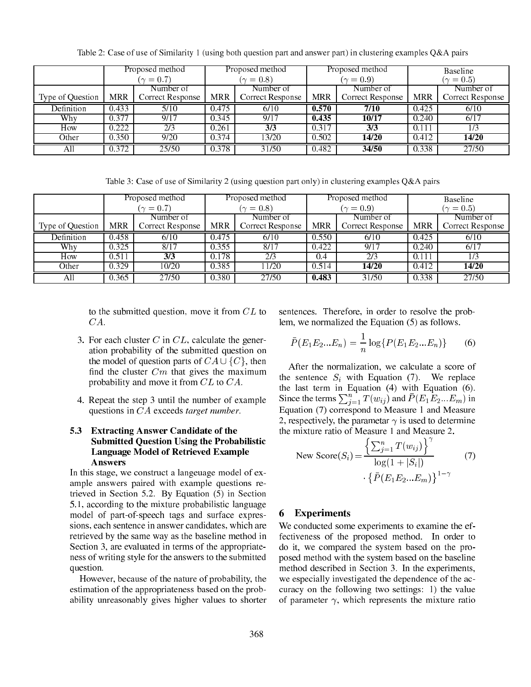|                     | Proposed method  |                         | Proposed method  |                  | Proposed method  |                  | <b>Baseline</b> |                  |
|---------------------|------------------|-------------------------|------------------|------------------|------------------|------------------|-----------------|------------------|
|                     | $(\gamma = 0.7)$ |                         | $(\gamma = 0.8)$ |                  | $(\gamma = 0.9)$ |                  | $(\gamma=0.5)$  |                  |
|                     |                  | Number of               |                  | Number of        |                  | Number of        |                 | Number of        |
| Type of Question    | <b>MRR</b>       | <b>Correct Response</b> | <b>MRR</b>       | Correct Response | <b>MRR</b>       | Correct Response | <b>MRR</b>      | Correct Response |
| Definition          | 0.433            | 5/10                    | 0.475            | 6/10             | 0.570            | 7/10             | 0.425           | 6/10             |
| Why                 | 0.377            | 9/17                    | 0.345            | 9/17             | 0.435            | 10/17            | 0.240           | 6/17             |
| How                 | 0.222            | 2/3                     | 0.261            | 3/3              | 0.317            | 3/3              | 0.111           | /3               |
| $\overline{O}$ ther | 0.350            | 9/20                    | 0.374            | 13/20            | 0.502            | 14/20            | 0.412           | 14/20            |
| All                 | 0.372            | 25/50                   | 0.378            | 31/50            | 0.482            | 34/50            | 0.338           | 27/50            |

Table 2: Case of use of Similarity 1 (using both question part and answer part) in clustering examples Q&A pairs

Table 3: Case of use of Similarity 2 (using question part only) in lustering examples Q&A pairs

|                  | Proposed method  |                  | Proposed method  |                   | Proposed method  |                  | Baseline         |                  |
|------------------|------------------|------------------|------------------|-------------------|------------------|------------------|------------------|------------------|
|                  | $(\gamma = 0.7)$ |                  | $(\gamma = 0.8)$ |                   | $(\gamma = 0.9)$ |                  | $(\gamma = 0.5)$ |                  |
|                  |                  | Number of        |                  | Number of         |                  | Number of        |                  | Number of        |
| Type of Question | <b>MRR</b>       | Correct Response | <b>MRR</b>       | Correct Response  | <b>MRR</b>       | Correct Response | <b>MRR</b>       | Correct Response |
| Definition       | 0.458            | 6/10             | 0.475            | 6/10              | 0.550            | 6/10             | 0.425            | 6/10             |
| Why              | 0.325            | 8/17             | 0.355            | $\overline{8/17}$ | 0.422            | 9/17             | 0.240            | 6/17             |
| How              | 0.511            | 3/3              | 0.178            | 2/3               | 0.4              | 2/3              | 0.111            | 173              |
| Other            | 0.329            | 10/20            | 0.385            | 11/20             | 0.514            | 14/20            | 0.412            | 14/20            |
| All              | 0.365            | 27/50            | 0.380            | 27/50             | 0.483            | 31/50            | 0.338            | 27/50            |

to the submitted question, move it from CL to CA.

- 3. For each cluster C in  $CL$ , calculate the generation probability of the submitted question on the model of question parts of  $CA \cup \{C\}$ , then find the cluster  $Cm$  that gives the maximum probability and move it from CL to CA.
- 4. Repeat the step 3 until the number of example questions in CA exceeds target number.

### 5.3 Extra
ting Answer Candidate of the Submitted Question Using the Probabilisti Language Model of Retrieved Example Answers

In this stage, we construct a langeuage model of example answers paired with example questions retrieved in Section 5.2. By Equation (5) in Section 5.1, according to the mixture probabilistic language model of part-of-spee
h tags and surfa
e expressions, each sentence in answer candidates, which are retrieved by the same way as the baseline method in Section 3, are evaluated in terms of the appropriateness of writing style for the answers to the submitted question.

However, be
ause of the nature of probability, the estimation of the appropriateness based on the probability unreasonably gives higher values to shorter senten
es. Therefore, in order to resolve the problem, we normalized the Equation (5) as follows.

$$
\bar{P}(E_1E_2...E_n) = \frac{1}{n}\log\{P(E_1E_2...E_n)\} \tag{6}
$$

After the normalization, we calculate a score of the sentence  $S_i$  with Equation (7). We replace the last term in Equation (4) with Equation (6). Since the terms  $\sum_{i=1}^{n} T(w_{ij})$  and  $P(E_1E_2...E_m)$  in Equation (7) orrespond to Measure 1 and Measure 2, respectively, the parametar  $\gamma$  is used to determine the mixture ratio of Measure 1 and Measure 2.

New Score
$$
(S_i)
$$
 =  $\frac{\left\{\sum_{j=1}^{n} T(w_{ij})\right\}^{\gamma}}{\log(1 + |S_i|)}$  (7)  
  $\cdot \left\{\bar{P}(E_1 E_2 ... E_m)\right\}^{1-\gamma}$ 

## <sup>6</sup> Experiments

We conducted some experiments to examine the effe
tiveness of the proposed method. In order to do it, we ompared the system based on the proposed method with the system based on the baseline method described in Section 3. In the experiments, we especially investigated the dependence of the accuracy on the following two settings: 1) the value of parameter  $\gamma$ , which represents the mixture ratio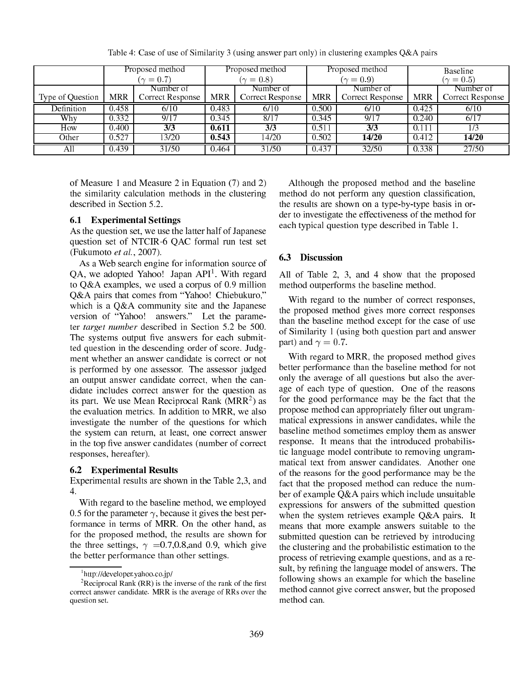|                  | Proposed method  |                  | Proposed method |                  | Proposed method  |                  | Baseline       |                  |
|------------------|------------------|------------------|-----------------|------------------|------------------|------------------|----------------|------------------|
|                  | $(\gamma = 0.7)$ |                  | $\gamma = 0.8$  |                  | $(\gamma = 0.9)$ |                  | $(\gamma=0.5)$ |                  |
|                  |                  | Number of        |                 | Number of        |                  | Number of        |                | Number of        |
| Type of Question | <b>MRR</b>       | Correct Response | <b>MRR</b>      | Correct Response | <b>MRR</b>       | Correct Response | <b>MRR</b>     | Correct Response |
| Definition       | 0.458            | 6/10             | 0.483           | 6/10             | 0.500            | 6/10             | 0.425          | 6/10             |
| Why              | 0.332            | 9/17             | 0.345           | 8/17             | 0.345            | 9/17             | 0.240          | 6/17             |
| How              | 0.400            | 3/3              | 0.611           | 3/3              | 0.511            | 3/3              | 0.111          | $\sqrt{3}$       |
| Other            | 0.527            | 13/20            | 0.543           | 14/20            | 0.502            | 14/20            | 0.412          | 14/20            |
| All              | 0.439            | 31/50            | 0.464           | 31/50            | 0.437            | 32/50            | 0.338          | 27/50            |

Table 4: Case of use of Similarity 3 (using answer part only) in lustering examples Q&A pairs

of Measure 1 and Measure 2 in Equation (7) and 2) the similarity calculation methods in the clustering described in Section 5.2.

#### 6.1 Experimental Settings

As the question set, we use the latter half of Japanese question set of NTCIR-6 QAC formal run test set (Fukumoto et al., 2007).

As a Web sear
h engine for information sour
e of QA, we adopted Yahoo! Japan API-. With regard to Q&A examples, we used a orpus of 0.9 million O&A pairs that comes from "Yahoo! Chiebukuro," which is a Q&A community site and the Japanese version of "Yahoo! answers." Let the parameter *target number* described in Section 5.2 be 500. The systems output -ve answers for ea
h submitted question in the des
ending order of s
ore. Judgment whether an answer candidate is correct or not is performed by one assessor. The assessor judged an output answer candidate correct, when the candidate in
ludes orre
t answer for the question as its part. We use Mean Reciprocal Rank (MRR<sup>2</sup>) as the evaluation metri
s. In addition to MRR, we also investigate the number of the questions for whi
h the system an return, at least, one orre
t answer in the top -ve answer andidates (number of orre
t responses, hereafter).

### 6.2 Experimental Results

Experimental results are shown in the Table 2,3, and 4.

With regard to the baseline method, we employed 0.5 for the parameter  $\gamma$ , because it gives the best performan
e in terms of MRR. On the other hand, as for the proposed method, the results are shown for the three settings,  $\gamma = 0.7, 0.8,$  and 0.9, which give the better performan
e than other settings.

Although the proposed method and the baseline method do not perform any question lassi-ation, the results are shown on a type-by-type basis in order to investigate the effe
tiveness of the method for ea
h typi
al question type des
ribed in Table 1.

#### $6.3$ **Discussion**

All of Table 2, 3, and 4 show that the proposed method outperforms the baseline method.

With regard to the number of correct responses, the proposed method gives more orre
t responses than the baseline method ex
ept for the ase of use of Similarity 1 (using both question part and answer part) and  $\gamma = 0.7$ .

With regard to MRR, the proposed method gives better performan
e than the baseline method for not only the average of all questions but also the average of ea
h type of question. One of the reasons for the good performance may be the fact that the propose method an appropriately -lter out ungrammati
al expressions in answer andidates, while the baseline method sometimes employ them as answer response. It means that the introdu
ed probabilisti language model ontribute to removing ungrammatical text from answer candidates. Another one of the reasons for the good performan
e may be the fact that the proposed method can reduce the number of example Q&A pairs whi
h in
lude unsuitable expressions for answers of the submitted question when the system retrieves example Q&A pairs. It means that more example answers suitable to the submitted question can be retrieved by introducing the lustering and the probabilisti estimation to the pro
ess of retrieving example questions, and as a result, by re-ning the language model of answers. The following shows an example for whi
h the baseline method annot give orre
t answer, but the proposed method can.

<sup>1</sup> http://developer.yahoo.
o.jp/

<sup>-</sup>Reciprocal Rank (RR) is the inverse of the rank of the first correct answer candidate. MRR is the average of RRs over the question set.